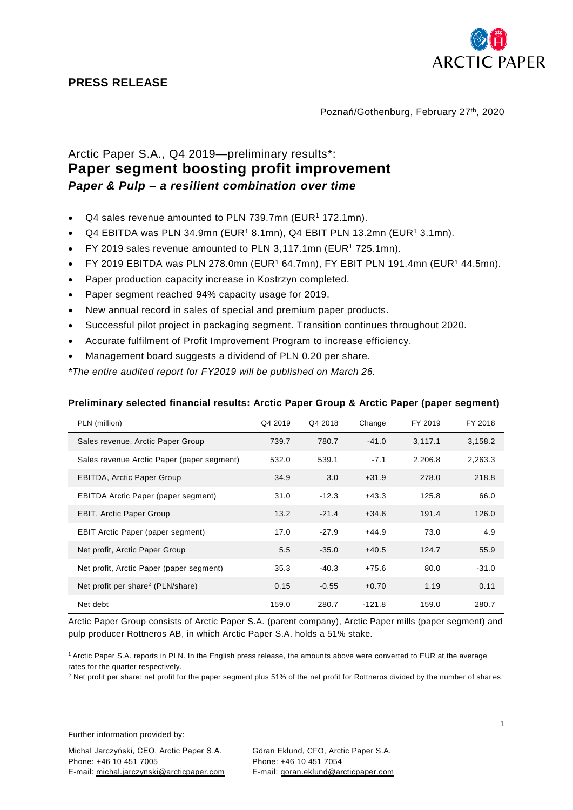

Poznań/Gothenburg, February 27<sup>th</sup>, 2020

# Arctic Paper S.A., Q4 2019—preliminary results\*: **Paper segment boosting profit improvement** *Paper & Pulp – a resilient combination over time*

- Q4 sales revenue amounted to PLN 739.7mn (EUR<sup>1</sup> 172.1mn).
- $\bullet$  Q4 EBITDA was PLN 34.9mn (EUR<sup>1</sup> 8.1mn), Q4 EBIT PLN 13.2mn (EUR<sup>1</sup> 3.1mn).
- FY 2019 sales revenue amounted to PLN 3,117.1mn (EUR<sup>1</sup> 725.1mn).
- FY 2019 EBITDA was PLN 278.0mn (EUR<sup>1</sup> 64.7mn), FY EBIT PLN 191.4mn (EUR<sup>1</sup> 44.5mn).
- Paper production capacity increase in Kostrzyn completed.
- Paper segment reached 94% capacity usage for 2019.
- New annual record in sales of special and premium paper products.
- Successful pilot project in packaging segment. Transition continues throughout 2020.
- Accurate fulfilment of Profit Improvement Program to increase efficiency.
- Management board suggests a dividend of PLN 0.20 per share.

*\*The entire audited report for FY2019 will be published on March 26.*

#### **Preliminary selected financial results: Arctic Paper Group & Arctic Paper (paper segment)**

| PLN (million)                                 | Q4 2019 | Q4 2018 | Change   | FY 2019 | FY 2018 |
|-----------------------------------------------|---------|---------|----------|---------|---------|
| Sales revenue, Arctic Paper Group             | 739.7   | 780.7   | $-41.0$  | 3,117.1 | 3,158.2 |
| Sales revenue Arctic Paper (paper segment)    | 532.0   | 539.1   | $-7.1$   | 2,206.8 | 2,263.3 |
| <b>EBITDA, Arctic Paper Group</b>             | 34.9    | 3.0     | $+31.9$  | 278.0   | 218.8   |
| <b>EBITDA Arctic Paper (paper segment)</b>    | 31.0    | $-12.3$ | $+43.3$  | 125.8   | 66.0    |
| <b>EBIT, Arctic Paper Group</b>               | 13.2    | $-21.4$ | $+34.6$  | 191.4   | 126.0   |
| <b>EBIT Arctic Paper (paper segment)</b>      | 17.0    | $-27.9$ | $+44.9$  | 73.0    | 4.9     |
| Net profit, Arctic Paper Group                | 5.5     | $-35.0$ | $+40.5$  | 124.7   | 55.9    |
| Net profit, Arctic Paper (paper segment)      | 35.3    | $-40.3$ | $+75.6$  | 80.0    | $-31.0$ |
| Net profit per share <sup>2</sup> (PLN/share) | 0.15    | $-0.55$ | $+0.70$  | 1.19    | 0.11    |
| Net debt                                      | 159.0   | 280.7   | $-121.8$ | 159.0   | 280.7   |

Arctic Paper Group consists of Arctic Paper S.A. (parent company), Arctic Paper mills (paper segment) and pulp producer Rottneros AB, in which Arctic Paper S.A. holds a 51% stake.

<sup>1</sup> Arctic Paper S.A. reports in PLN. In the English press release, the amounts above were converted to EUR at the average rates for the quarter respectively.

<sup>2</sup> Net profit per share: net profit for the paper segment plus 51% of the net profit for Rottneros divided by the number of shar es.

Further information provided by:

Michal Jarczyński, CEO, Arctic Paper S.A. Göran Eklund, CFO, Arctic Paper S.A. Phone: +46 10 451 7005 Phone: +46 10 451 7054 E-mail: michal.jarczynski@arcticpaper.com E-mail: [goran.eklund@arcticpaper.com](mailto:goran.eklund@arcticpaper.com)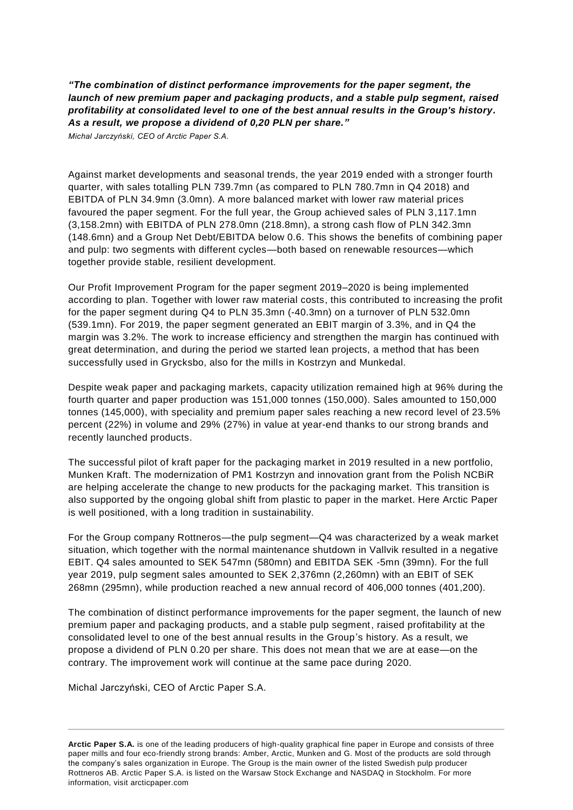*"The combination of distinct performance improvements for the paper segment, the launch of new premium paper and packaging products, and a stable pulp segment, raised profitability at consolidated level to one of the best annual results in the Group's history. As a result, we propose a dividend of 0,20 PLN per share."* 

*Michal Jarczyński, CEO of Arctic Paper S.A.*

Against market developments and seasonal trends, the year 2019 ended with a stronger fourth quarter, with sales totalling PLN 739.7mn (as compared to PLN 780.7mn in Q4 2018) and EBITDA of PLN 34.9mn (3.0mn). A more balanced market with lower raw material prices favoured the paper segment. For the full year, the Group achieved sales of PLN 3,117.1mn (3,158.2mn) with EBITDA of PLN 278.0mn (218.8mn), a strong cash flow of PLN 342.3mn (148.6mn) and a Group Net Debt/EBITDA below 0.6. This shows the benefits of combining paper and pulp: two segments with different cycles—both based on renewable resources—which together provide stable, resilient development.

Our Profit Improvement Program for the paper segment 2019–2020 is being implemented according to plan. Together with lower raw material costs, this contributed to increasing the profit for the paper segment during Q4 to PLN 35.3mn (-40.3mn) on a turnover of PLN 532.0mn (539.1mn). For 2019, the paper segment generated an EBIT margin of 3.3%, and in Q4 the margin was 3.2%. The work to increase efficiency and strengthen the margin has continued with great determination, and during the period we started lean projects, a method that has been successfully used in Grycksbo, also for the mills in Kostrzyn and Munkedal.

Despite weak paper and packaging markets, capacity utilization remained high at 96% during the fourth quarter and paper production was 151,000 tonnes (150,000). Sales amounted to 150,000 tonnes (145,000), with speciality and premium paper sales reaching a new record level of 23.5% percent (22%) in volume and 29% (27%) in value at year-end thanks to our strong brands and recently launched products.

The successful pilot of kraft paper for the packaging market in 2019 resulted in a new portfolio, Munken Kraft. The modernization of PM1 Kostrzyn and innovation grant from the Polish NCBiR are helping accelerate the change to new products for the packaging market. This transition is also supported by the ongoing global shift from plastic to paper in the market. Here Arctic Paper is well positioned, with a long tradition in sustainability.

For the Group company Rottneros—the pulp segment—Q4 was characterized by a weak market situation, which together with the normal maintenance shutdown in Vallvik resulted in a negative EBIT. Q4 sales amounted to SEK 547mn (580mn) and EBITDA SEK -5mn (39mn). For the full year 2019, pulp segment sales amounted to SEK 2,376mn (2,260mn) with an EBIT of SEK 268mn (295mn), while production reached a new annual record of 406,000 tonnes (401,200).

The combination of distinct performance improvements for the paper segment, the launch of new premium paper and packaging products, and a stable pulp segment, raised profitability at the consolidated level to one of the best annual results in the Group's history. As a result, we propose a dividend of PLN 0.20 per share. This does not mean that we are at ease—on the contrary. The improvement work will continue at the same pace during 2020.

Michal Jarczyński, CEO of Arctic Paper S.A.

**Arctic Paper S.A.** is one of the leading producers of high-quality graphical fine paper in Europe and consists of three paper mills and four eco-friendly strong brands: Amber, Arctic, Munken and G. Most of the products are sold through the company's sales organization in Europe. The Group is the main owner of the listed Swedish pulp producer Rottneros AB. Arctic Paper S.A. is listed on the Warsaw Stock Exchange and NASDAQ in Stockholm. For more information, visit arcticpaper.com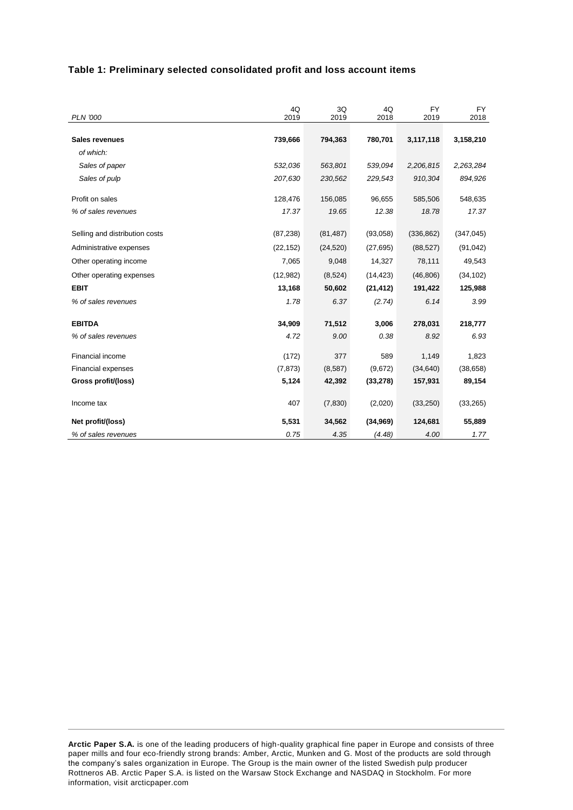## **Table 1: Preliminary selected consolidated profit and loss account items**

| <b>PLN '000</b>                | 4Q<br>2019 | 3Q<br>2019 | 4Q<br>2018 | <b>FY</b><br>2019 | <b>FY</b><br>2018 |
|--------------------------------|------------|------------|------------|-------------------|-------------------|
|                                |            |            |            |                   |                   |
| Sales revenues                 | 739,666    | 794,363    | 780,701    | 3,117,118         | 3,158,210         |
| of which:                      |            |            |            |                   |                   |
| Sales of paper                 | 532,036    | 563,801    | 539,094    | 2,206,815         | 2,263,284         |
| Sales of pulp                  | 207,630    | 230,562    | 229,543    | 910,304           | 894,926           |
| Profit on sales                | 128,476    | 156,085    | 96,655     | 585,506           | 548,635           |
| % of sales revenues            | 17.37      | 19.65      | 12.38      | 18.78             | 17.37             |
| Selling and distribution costs | (87, 238)  | (81, 487)  | (93,058)   | (336, 862)        | (347, 045)        |
| Administrative expenses        | (22, 152)  | (24, 520)  | (27, 695)  | (88, 527)         | (91, 042)         |
| Other operating income         | 7,065      | 9,048      | 14,327     | 78,111            | 49,543            |
| Other operating expenses       | (12,982)   | (8,524)    | (14, 423)  | (46, 806)         | (34, 102)         |
| <b>EBIT</b>                    | 13,168     | 50,602     | (21, 412)  | 191,422           | 125,988           |
| % of sales revenues            | 1.78       | 6.37       | (2.74)     | 6.14              | 3.99              |
| <b>EBITDA</b>                  | 34,909     | 71,512     | 3,006      | 278,031           | 218,777           |
| % of sales revenues            | 4.72       | 9.00       | 0.38       | 8.92              | 6.93              |
| Financial income               | (172)      | 377        | 589        | 1,149             | 1,823             |
| <b>Financial expenses</b>      | (7, 873)   | (8, 587)   | (9,672)    | (34, 640)         | (38, 658)         |
| Gross profit/(loss)            | 5,124      | 42,392     | (33, 278)  | 157,931           | 89,154            |
| Income tax                     | 407        | (7, 830)   | (2,020)    | (33, 250)         | (33, 265)         |
| Net profit/(loss)              | 5,531      | 34,562     | (34, 969)  | 124,681           | 55,889            |
| % of sales revenues            | 0.75       | 4.35       | (4.48)     | 4.00              | 1.77              |

**Arctic Paper S.A.** is one of the leading producers of high-quality graphical fine paper in Europe and consists of three paper mills and four eco-friendly strong brands: Amber, Arctic, Munken and G. Most of the products are sold through the company's sales organization in Europe. The Group is the main owner of the listed Swedish pulp producer Rottneros AB. Arctic Paper S.A. is listed on the Warsaw Stock Exchange and NASDAQ in Stockholm. For more information, visit arcticpaper.com